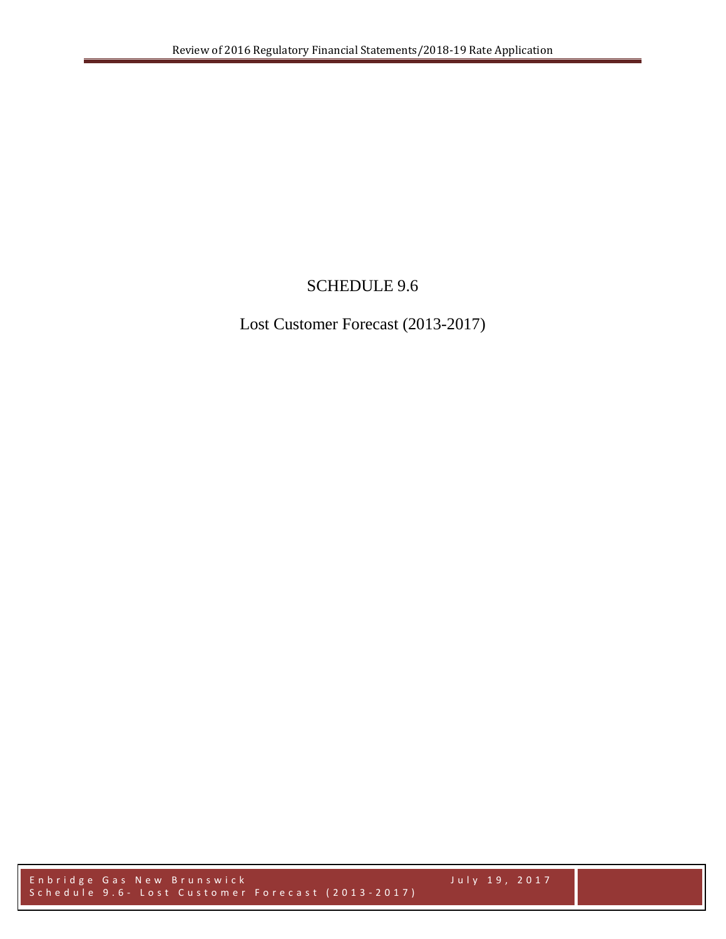## SCHEDULE 9.6

Lost Customer Forecast (2013-2017)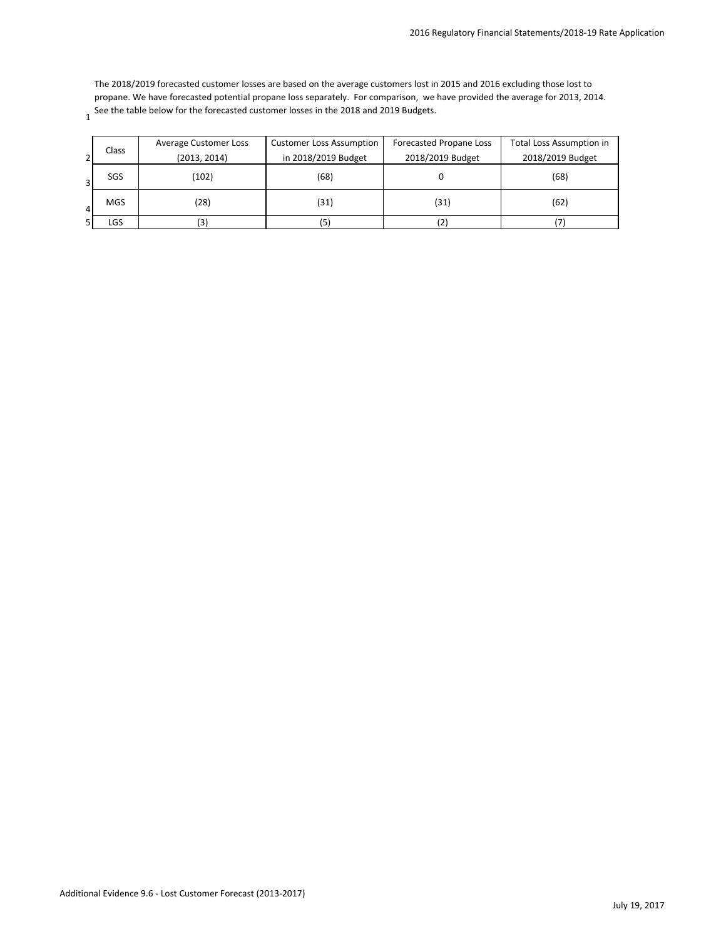1 See the table below for the forecasted customer losses in the 2018 and 2019 Budgets.The 2018/2019 forecasted customer losses are based on the average customers lost in 2015 and 2016 excluding those lost to propane. We have forecasted potential propane loss separately. For comparison, we have provided the average for 2013, 2014.

|                |            | <b>Average Customer Loss</b> | <b>Customer Loss Assumption</b> | Forecasted Propane Loss | <b>Total Loss Assumption in</b> |
|----------------|------------|------------------------------|---------------------------------|-------------------------|---------------------------------|
| $\overline{2}$ | Class      | (2013, 2014)                 | in 2018/2019 Budget             | 2018/2019 Budget        | 2018/2019 Budget                |
| 31             | <b>SGS</b> | (102)                        | (68)                            |                         | (68)                            |
| 4              | <b>MGS</b> | (28)                         | (31)                            | (31)                    | (62)                            |
| 5              | LGS        | (3)                          | .5'                             | $\mathbf{2}$            |                                 |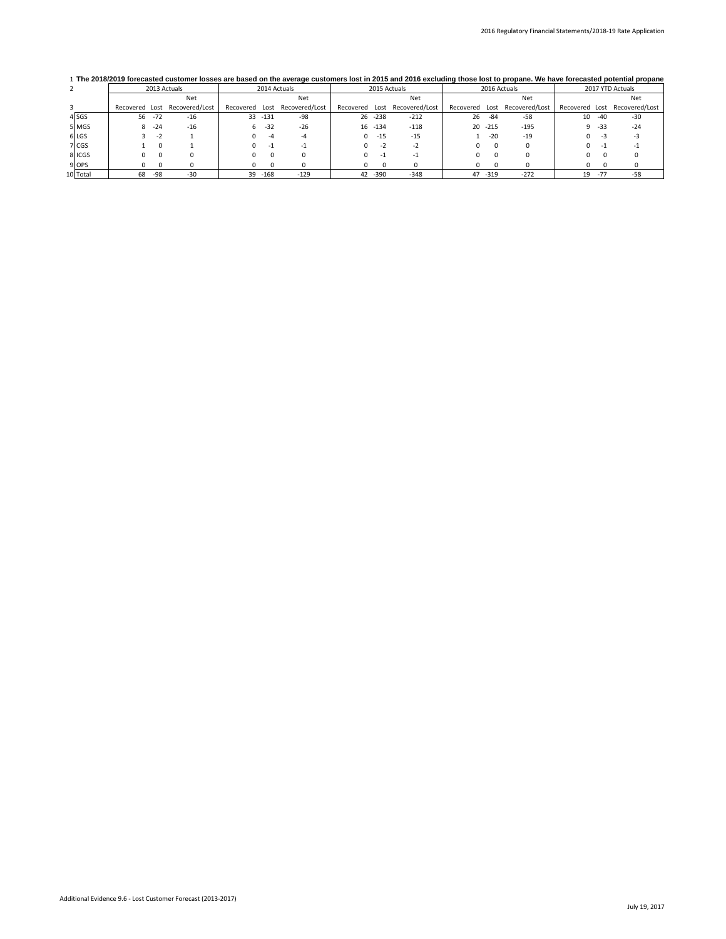## 1 **The 2018/2019 forecasted customer losses are based on the average customers lost in 2015 and 2016 excluding those lost to propane. We have forecasted potential propane**

|          |                |          | 2013 Actuals   | 2014 Actuals   |          |                | 2015 Actuals   |                          |                | 2016 Actuals   |            |                | 2017 YTD Actuals |       |                |
|----------|----------------|----------|----------------|----------------|----------|----------------|----------------|--------------------------|----------------|----------------|------------|----------------|------------------|-------|----------------|
|          |                |          | Net            |                |          | Net            |                |                          | Net            |                |            | Net            |                  |       | Net            |
|          | Recovered Lost |          | Recovered/Lost | Recovered Lost |          | Recovered/Lost | Recovered Lost |                          | Recovered/Lost | Recovered Lost |            | Recovered/Lost | Recovered Lost   |       | Recovered/Lost |
| 4 SGS    | 56             | $-72$    | $-16$          |                | 33 -131  | -98            |                | $26 - 238$               | $-212$         | 26             | -84        | -58            | 10               | $-40$ | $-30$          |
| 5 MGS    |                | $8 - 24$ | $-16$          | 6              | $-32$    | $-26$          |                | 16 -134                  | $-118$         |                | $20 - 215$ | $-195$         | 9                | $-33$ | $-24$          |
| 6 LGS    |                |          |                |                |          |                | 0              | -15                      | $-15$          |                | $-20$      | $-19$          | n.               | - -   |                |
| 7 CGS    |                |          |                |                |          |                |                | $\overline{\phantom{a}}$ |                |                |            |                | 0.               | . .   |                |
| 8 ICGS   |                |          |                |                |          |                |                | - 1                      |                |                |            |                | n.               | n     |                |
| 9 OPS    |                |          |                |                |          |                |                |                          |                |                |            |                |                  |       |                |
| 10 Total | 68             | -98      | $-30$          |                | 39 - 168 | $-129$         | 42             | $-390$                   | $-348$         | 47             | $-319$     | $-272$         | 19               | $-77$ | $-58$          |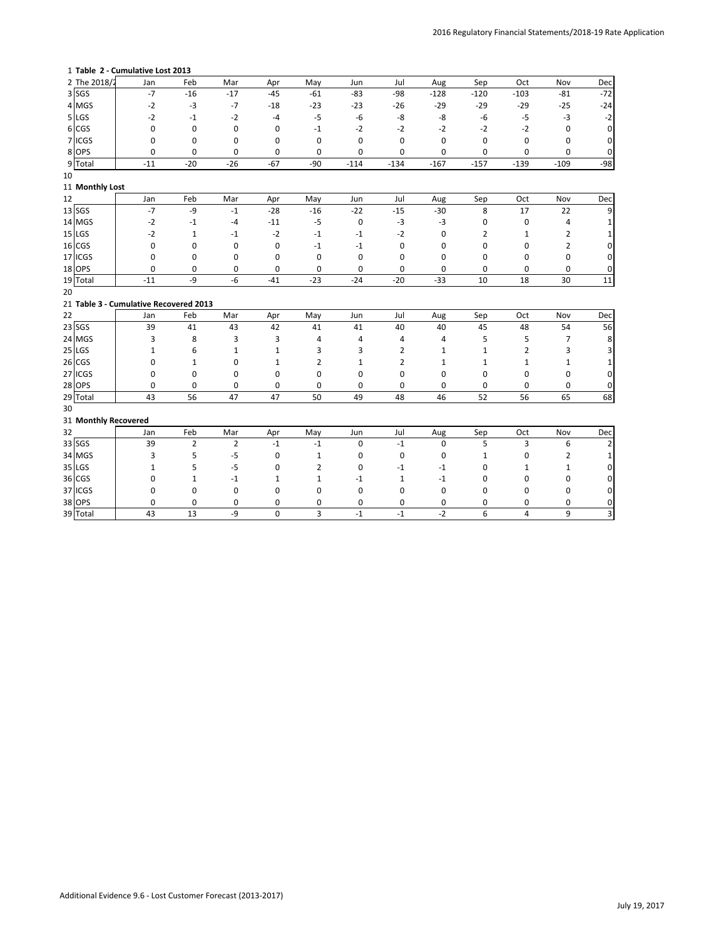|    |                      | 1 Table 2 - Cumulative Lost 2013       |              |                |              |                         |             |                    |              |                |                            |              |              |
|----|----------------------|----------------------------------------|--------------|----------------|--------------|-------------------------|-------------|--------------------|--------------|----------------|----------------------------|--------------|--------------|
|    | 2 The 2018/2         | Jan                                    | Feb          | Mar            | Apr          | May                     | Jun         | Jul                | Aug          | Sep            | Oct                        | Nov          | Dec          |
|    | 3 SGS                | $-7$                                   | $-16$        | $-17$          | $-45$        | $-61$                   | $-83$       | $-98$              | $-128$       | $-120$         | $-103$                     | $-81$        | $-72$        |
|    | 4 MGS                | $-2$                                   | $-3$         | $-7$           | $-18$        | $-23$                   | $-23$       | $-26$              | $-29$        | $-29$          | $-29$                      | $-25$        | $-24$        |
|    | 5 LGS                | $-2$                                   | $-1$         | $-2$           | $-4$         | $-5$                    | $-6$        | -8                 | -8           | $-6$           | $-5$                       | $-3$         | $-2$         |
|    | 6 CGS                | 0                                      | $\mathbf 0$  | $\mathbf 0$    | 0            | $^{\mbox{{\small -1}}}$ | $-2$        | $-2$               | $-2$         | $-2$           | $-2$                       | 0            | $\pmb{0}$    |
|    | 7 ICGS               | 0                                      | 0            | $\mathbf 0$    | 0            | $\mathbf 0$             | $\mathbf 0$ | $\mathbf 0$        | $\mathbf 0$  | $\mathbf 0$    | $\mathbf 0$                | 0            | $\mathbf 0$  |
|    | 8 OPS                | 0                                      | 0            | $\mathbf 0$    | 0            | $\mathbf 0$             | 0           | 0                  | 0            | $\mathbf 0$    | 0                          | 0            | 0            |
|    | 9 Total              | $-11$                                  | $-20$        | $-26$          | $-67$        | $-90$                   | $-114$      | $-134$             | $-167$       | $-157$         | $-139$                     | $-109$       | $-98$        |
| 10 |                      |                                        |              |                |              |                         |             |                    |              |                |                            |              |              |
|    | 11 Monthly Lost      |                                        |              |                |              |                         |             |                    |              |                |                            |              |              |
| 12 |                      | Jan                                    | Feb          | Mar            | Apr          | May                     | Jun         | Jul                | Aug          | Sep            | Oct                        | Nov          | Dec          |
|    | $13$ SGS             | $-7$                                   | -9           | $-1$           | $-28$        | $-16$                   | $-22$       | $-15$              | $-30$        | 8              | 17                         | 22           | 9            |
|    | 14 MGS               | $-2$                                   | $-1$         | -4             | $-11$        | $-5$                    | $\mathbf 0$ | $-3$               | $-3$         | 0              | $\mathbf 0$                | 4            | 1            |
|    | 15 LGS               | $-2$                                   | $\mathbf{1}$ | $-1$           | $-2$         | $-1$                    | $-1$        | $-2$               | $\mathbf 0$  | $\overline{2}$ | $\mathbf{1}$               | 2            | $\mathbf{1}$ |
|    | 16 CGS               | $\mathbf 0$                            | 0            | $\mathbf 0$    | 0            | $\mathbf{-1}$           | $-1$        | 0                  | 0            | $\mathbf 0$    | $\mathbf 0$                | 2            | 0            |
|    | 17 ICGS              | 0                                      | 0            | 0              | 0            | $\mathbf 0$             | 0           | 0                  | 0            | 0              | 0                          | 0            | 0            |
|    | 18 OPS               | 0                                      | $\mathbf 0$  | $\mathbf 0$    | 0            | 0                       | 0           | 0                  | 0            | 0              | 0                          | 0            | $\mathbf 0$  |
|    | 19 Total             | $-11$                                  | $-9$         | $-6$           | $-41$        | $-23$                   | $-24$       | $-20$              | $-33$        | 10             | 18                         | 30           | 11           |
| 20 |                      |                                        |              |                |              |                         |             |                    |              |                |                            |              |              |
|    |                      | 21 Table 3 - Cumulative Recovered 2013 |              |                |              |                         |             |                    |              |                |                            |              |              |
| 22 |                      | Jan                                    | Feb          | Mar            | Apr          | May                     | Jun         | Jul                | Aug          | Sep            | Oct                        | Nov          | Dec          |
|    | $23$ SGS             | 39                                     | 41           | 43             | 42           | 41                      | 41          | 40                 | 40           | 45             | 48                         | 54           | 56           |
|    | 24 MGS               | 3                                      | 8            | 3              | 3            | 4                       | 4           | 4                  | 4            | 5              | 5                          | 7            | 8            |
|    | 25 LGS               | $\mathbf{1}$                           | 6            | $\mathbf{1}$   | $\mathbf{1}$ | 3                       | 3           | 2                  | $\mathbf{1}$ | $\mathbf{1}$   | $\overline{2}$             | 3            | 3            |
|    | 26 CGS               | 0                                      | 1            | $\mathbf 0$    | $\mathbf{1}$ | $\overline{2}$          | $\mathbf 1$ | 2                  | $\mathbf{1}$ | $\mathbf{1}$   | $\mathbf{1}$               | 1            | $\mathbf 1$  |
|    | 27 ICGS              | 0                                      | $\mathbf 0$  | $\mathbf 0$    | $\Omega$     | $\mathbf 0$             | 0           | 0                  | $\Omega$     | $\Omega$       | $\Omega$                   | 0            | 0            |
|    | 28 OPS               | 0                                      | 0            | 0              | 0            | 0                       | 0           | 0                  | 0            | 0              | 0                          | 0            | 0            |
|    | 29 Total             | 43                                     | 56           | 47             | 47           | 50                      | 49          | 48                 | 46           | 52             | 56                         | 65           | 68           |
| 30 |                      |                                        |              |                |              |                         |             |                    |              |                |                            |              |              |
|    | 31 Monthly Recovered |                                        |              |                |              |                         |             |                    |              |                |                            |              |              |
| 32 |                      | Jan                                    | Feb          | Mar            | Apr          | May                     | Jun         | Jul                | Aug          | Sep            | Oct                        | Nov          | Dec          |
|    | 33 SGS               | 39                                     | 2            | $\overline{2}$ | $-1$         | $-1$                    | 0           | $\mathbf{-1}$      | $\mathbf 0$  | 5              | 3                          | 6            | 2            |
|    | 34 MGS               | 3                                      | 5            | $-5$           | 0            | $\mathbf{1}$            | 0           | 0                  | 0            | $\mathbf{1}$   | $\mathbf 0$                | 2            | 1            |
|    |                      |                                        |              |                |              |                         |             |                    |              |                |                            |              |              |
|    | 35 LGS               | $\mathbf 1$                            | 5            | $-5$           | 0            | $\overline{2}$          | 0           | $-1$               | $-1$         | $\mathbf 0$    | $\mathbf{1}$               | $\mathbf{1}$ | 0            |
|    | 36 CGS               | 0                                      | $\mathbf{1}$ | $-1$           | $\mathbf{1}$ | $\mathbf{1}$            | -1          | $\mathbf{1}$       | $-1$         | 0              | $\Omega$                   | 0            | 0            |
|    | 37 ICGS              | 0                                      | 0            | $\mathbf 0$    | 0            | $\mathbf 0$             | $\mathbf 0$ | 0                  | $\mathbf 0$  | $\mathbf 0$    | 0                          | 0            | 0            |
|    | 38 OPS<br>39 Total   | 0<br>43                                | 0<br>13      | 0<br>$-9$      | 0<br>0       | 0<br>3                  | 0<br>$-1$   | 0<br>$\mathbf{-1}$ | 0<br>$-2$    | 0<br>6         | $\Omega$<br>$\overline{4}$ | 0<br>9       | 0<br>3       |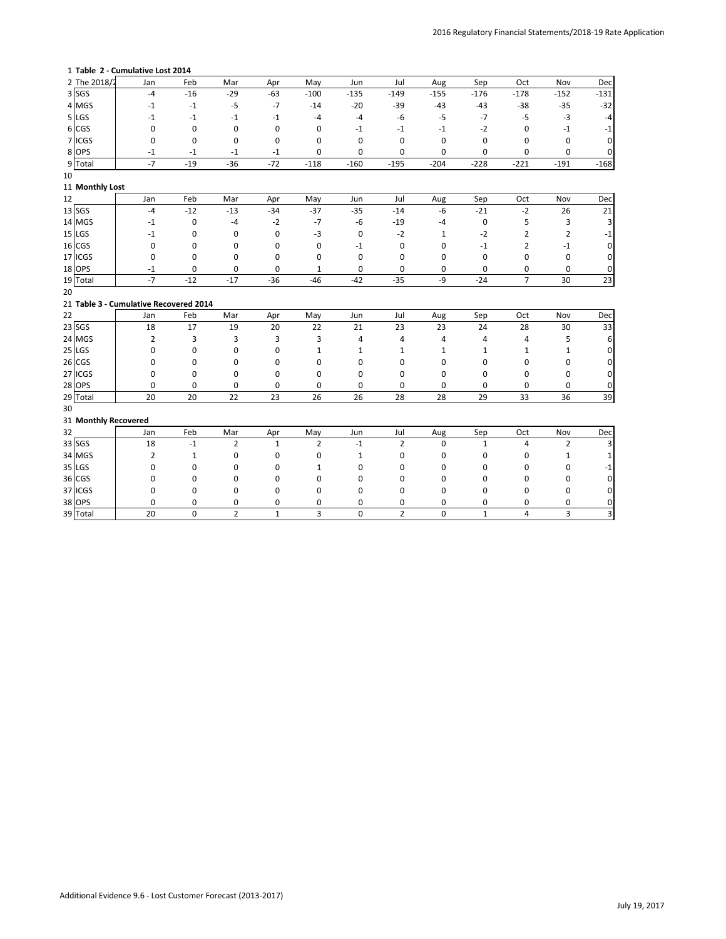|    |                      | 1 Table 2 - Cumulative Lost 2014       |             |                |              |                |              |                |              |              |                |               |                 |
|----|----------------------|----------------------------------------|-------------|----------------|--------------|----------------|--------------|----------------|--------------|--------------|----------------|---------------|-----------------|
|    | 2 The 2018/2         | Jan                                    | Feb         | Mar            | Apr          | May            | Jun          | Jul            | Aug          | Sep          | Oct            | Nov           | Dec             |
|    | 3 SGS                | -4                                     | $-16$       | $-29$          | $-63$        | $-100$         | $-135$       | $-149$         | $-155$       | $-176$       | $-178$         | $-152$        | $-131$          |
|    | 4 MGS                | $-1$                                   | $-1$        | $-5$           | $-7$         | $-14$          | $-20$        | $-39$          | $-43$        | $-43$        | $-38$          | $-35$         | $-32$           |
|    | 5 LGS                | $-1$                                   | $-1$        | $-1$           | $-1$         | $-4$           | $-4$         | $-6$           | $-5$         | $-7$         | $-5$           | $-3$          | $-4$            |
|    | 6 CGS                | 0                                      | $\mathbf 0$ | $\mathbf 0$    | 0            | 0              | $-1$         | $-1$           | $-1$         | $-2$         | 0              | $-1$          | $^{\rm -1}$     |
|    | 7 ICGS               | 0                                      | 0           | 0              | 0            | $\mathbf 0$    | $\mathbf 0$  | $\mathbf 0$    | $\mathbf 0$  | 0            | $\mathbf 0$    | 0             | $\mathbf 0$     |
|    | 8 OPS                | $-1$                                   | -1          | $-1$           | $-1$         | $\mathbf 0$    | 0            | $\mathbf 0$    | 0            | 0            | 0              | 0             | 0               |
|    | 9 Total              | $-7$                                   | $-19$       | $-36$          | $-72$        | $-118$         | $-160$       | $-195$         | $-204$       | $-228$       | $-221$         | $-191$        | $-168$          |
| 10 |                      |                                        |             |                |              |                |              |                |              |              |                |               |                 |
|    | 11 Monthly Lost      |                                        |             |                |              |                |              |                |              |              |                |               |                 |
| 12 |                      | Jan                                    | Feb         | Mar            | Apr          | May            | Jun          | Jul            | Aug          | Sep          | Oct            | Nov           | Dec             |
|    | $13$ SGS             | $-4$                                   | $-12$       | $-13$          | $-34$        | $-37$          | $-35$        | $-14$          | $-6$         | $-21$        | $-2$           | 26            | 21              |
|    | 14 MGS               | $-1$                                   | 0           | $-4$           | $-2$         | $-7$           | -6           | $-19$          | -4           | 0            | 5              | 3             | 3               |
|    | 15 LGS               | $-1$                                   | 0           | 0              | 0            | $-3$           | 0            | $-2$           | $\mathbf{1}$ | $-2$         | $\overline{2}$ | 2             | $^{\rm -1}$     |
|    | 16 CGS               | 0                                      | 0           | $\mathbf 0$    | 0            | $\mathbf 0$    | $-1$         | $\mathbf 0$    | $\mathbf 0$  | $-1$         | $\overline{2}$ | $\mathbf{-1}$ | 0               |
|    | 17 ICGS              | 0                                      | 0           | 0              | 0            | 0              | $\mathbf 0$  | 0              | $\mathbf 0$  | $\mathbf 0$  | $\mathbf 0$    | 0             | 0               |
|    | 18 OPS               | $-1$                                   | 0           | 0              | 0            | $\mathbf{1}$   | 0            | 0              | 0            | 0            | 0              | 0             | 0               |
|    | 19 Total             | $-7$                                   | $-12$       | $-17$          | $-36$        | $-46$          | $-42$        | $-35$          | $-9$         | $-24$        | $\overline{7}$ | 30            | $\overline{23}$ |
| 20 |                      |                                        |             |                |              |                |              |                |              |              |                |               |                 |
|    |                      | 21 Table 3 - Cumulative Recovered 2014 |             |                |              |                |              |                |              |              |                |               |                 |
| 22 |                      | Jan                                    | Feb         | Mar            | Apr          | May            | Jun          | Jul            | Aug          | Sep          | Oct            | Nov           | Dec             |
|    | 23 SGS               | 18                                     | 17          | 19             | 20           | 22             | 21           | 23             | 23           | 24           | 28             | 30            | 33              |
|    | 24 MGS               | 2                                      | 3           | 3              | 3            | 3              | 4            | 4              | 4            | 4            | $\overline{4}$ | 5             | 6               |
|    | 25 LGS               | 0                                      | 0           | 0              | 0            | $\mathbf{1}$   | $\mathbf{1}$ | 1              | 1            | 1            | 1              | $\mathbf{1}$  | 0               |
|    | 26 CGS               | 0                                      | 0           | 0              | 0            | 0              | 0            | $\mathbf 0$    | 0            | $\mathbf 0$  | $\mathbf 0$    | 0             | 0               |
|    | 27 ICGS              | 0                                      | 0           | 0              | 0            | 0              | 0            | 0              | $\mathbf 0$  | 0            | $\Omega$       | 0             | 0               |
|    | 28 OPS               | 0                                      | 0           | 0              | 0            | $\mathbf 0$    | 0            | 0              | 0            | 0            | $\mathbf 0$    | 0             | 0               |
|    | 29 Total             | 20                                     | 20          | 22             | 23           | 26             | 26           | 28             | 28           | 29           | 33             | 36            | 39              |
| 30 |                      |                                        |             |                |              |                |              |                |              |              |                |               |                 |
|    | 31 Monthly Recovered |                                        |             |                |              |                |              |                |              |              |                |               |                 |
| 32 |                      | Jan                                    | Feb         | Mar            | Apr          | May            | Jun          | Jul            | Aug          | Sep          | Oct            | Nov           | Dec             |
|    | 33 SGS               | 18                                     | $-1$        | 2              | $\mathbf{1}$ | $\overline{2}$ | $-1$         | $\overline{2}$ | $\mathbf 0$  | $\mathbf{1}$ | $\overline{4}$ | 2             | 3               |
|    | 34 MGS               | 2                                      | $\mathbf 1$ | 0              | 0            | $\mathbf 0$    | $\mathbf{1}$ | 0              | $\mathbf 0$  | 0            | $\mathbf 0$    | $\mathbf{1}$  | $\mathbf 1$     |
|    | 35 LGS               | 0                                      | 0           | 0              | 0            | $\mathbf{1}$   | 0            | 0              | 0            | 0            | $\mathbf 0$    | 0             | $-1$            |
|    | 36 CGS               | 0                                      | 0           | 0              | 0            | $\Omega$       | 0            | 0              | 0            | 0            | $\Omega$       | 0             | 0               |
|    | 37 ICGS              | 0                                      | 0           | $\mathbf 0$    | 0            | $\mathbf 0$    | 0            | $\mathbf 0$    | $\mathbf 0$  | $\mathbf 0$  | $\Omega$       | 0             | 0               |
|    | 38 OPS               | 0                                      | 0           | 0              | 0            | 0              | 0            | 0              | 0            | 0            | $\mathbf 0$    | 0             | 0               |
|    | 39 Total             | 20                                     | $\mathbf 0$ | $\overline{2}$ | $\mathbf{1}$ | $\overline{3}$ | 0            | $\overline{2}$ | $\mathbf 0$  | $\mathbf{1}$ | $\overline{4}$ | 3             | 3               |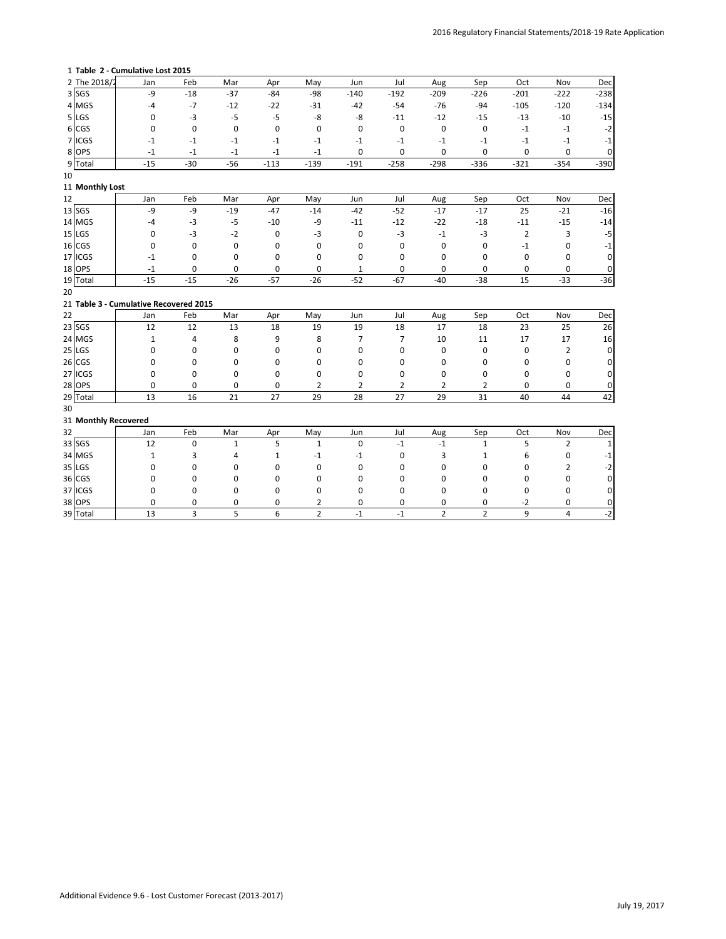|    |                      | 1 Table 2 - Cumulative Lost 2015       |             |              |              |                     |                     |                    |                     |                     |                |                |                         |
|----|----------------------|----------------------------------------|-------------|--------------|--------------|---------------------|---------------------|--------------------|---------------------|---------------------|----------------|----------------|-------------------------|
|    | 2 The 2018/2         | Jan                                    | Feb         | Mar          | Apr          | May                 | Jun                 | Jul                | Aug                 | Sep                 | Oct            | Nov            | Dec                     |
|    | 3 SGS                | -9                                     | $-18$       | $-37$        | $-84$        | $-98$               | $-140$              | $-192$             | $-209$              | $-226$              | $-201$         | $-222$         | $-238$                  |
|    | 4 MGS                | $-4$                                   | $-7$        | $-12$        | $-22$        | $-31$               | $-42$               | $-54$              | $-76$               | $-94$               | $-105$         | $-120$         | $-134$                  |
|    | 5 LGS                | 0                                      | $-3$        | $-5$         | $-5$         | -8                  | -8                  | $-11$              | $-12$               | $-15$               | $-13$          | $-10$          | $-15$                   |
|    | 6 CGS                | 0                                      | $\bf{0}$    | $\mathbf 0$  | 0            | $\mathbf 0$         | $\mathbf 0$         | 0                  | $\mathbf 0$         | 0                   | $\textbf{-1}$  | $-1$           | $-2$                    |
|    | 7 ICGS               | $-1$                                   | $-1$        | $-1$         | $-1$         | $-1$                | $-1$                | $-1$               | $-1$                | $-1$                | $-1$           | $-1$           | $-1$                    |
|    | 8 OPS                | $-1$                                   | $-1$        | $-1$         | $-1$         | $\mathbf{-1}$       | 0                   | 0                  | 0                   | $\mathbf 0$         | $\mathbf 0$    | 0              | $\bf{0}$                |
|    | 9 Total              | $-15$                                  | $-30$       | $-56$        | $-113$       | $-139$              | $-191$              | $-258$             | $-298$              | $-336$              | $-321$         | $-354$         | $-390$                  |
| 10 |                      |                                        |             |              |              |                     |                     |                    |                     |                     |                |                |                         |
|    | 11 Monthly Lost      |                                        |             |              |              |                     |                     |                    |                     |                     |                |                |                         |
| 12 |                      | Jan                                    | Feb         | Mar          | Apr          | May                 | Jun                 | Jul                | Aug                 | Sep                 | Oct            | Nov            | Dec                     |
|    | $13$ SGS             | -9                                     | -9          | $-19$        | $-47$        | $-14$               | $-42$               | $-52$              | $-17$               | $-17$               | 25             | $-21$          | $-16$                   |
|    | 14 MGS               | -4                                     | $-3$        | $-5$         | $-10$        | -9                  | $-11$               | $-12$              | $-22$               | $-18$               | $-11$          | $-15$          | $-14$                   |
|    | 15 LGS               | 0                                      | $-3$        | $-2$         | 0            | $-3$                | 0                   | $-3$               | $-1$                | $-3$                | $\overline{2}$ | 3              | $-5$                    |
|    | 16 CGS               | 0                                      | $\bf{0}$    | $\mathbf 0$  | 0            | $\mathbf 0$         | 0                   | 0                  | $\mathbf 0$         | $\mathbf 0$         | $-1$           | 0              | $^{\mbox{{\small -1}}}$ |
|    | 17 ICGS              | $-1$                                   | 0           | 0            | 0            | 0                   | 0                   | 0                  | $\mathbf 0$         | 0                   | 0              | 0              | $\bf{0}$                |
|    | 18 OPS               | $-1$                                   | $\bf{0}$    | $\mathbf 0$  | 0            | 0                   | $\mathbf 1$         | 0                  | 0                   | 0                   | 0              | 0              | $\pmb{0}$               |
|    | 19 Total             | $-15$                                  | $-15$       | $-26$        | $-57$        | $-26$               | $-52$               | $-67$              | $-40$               | $-38$               | 15             | $-33$          | $-36$                   |
| 20 |                      |                                        |             |              |              |                     |                     |                    |                     |                     |                |                |                         |
|    |                      | 21 Table 3 - Cumulative Recovered 2015 |             |              |              |                     |                     |                    |                     |                     |                |                |                         |
| 22 |                      | Jan                                    | Feb         | Mar          | Apr          | May                 | Jun                 | Jul                | Aug                 | Sep                 | Oct            | Nov            | Dec                     |
|    | $23$ SGS             | 12                                     | 12          | 13           | 18           | 19                  | 19                  | 18                 | 17                  | 18                  | 23             | 25             | 26                      |
|    | 24 MGS               | $\mathbf 1$                            | 4           | 8            | 9            | 8                   | 7                   | $\overline{7}$     | 10                  | 11                  | 17             | 17             | 16                      |
|    | 25 LGS               | 0                                      | $\bf{0}$    | $\mathbf 0$  | 0            | $\mathbf 0$         | 0                   | 0                  | $\bf{0}$            | $\mathbf 0$         | $\bf{0}$       | $\overline{2}$ | $\mathbf 0$             |
|    | 26 CGS               | 0                                      | 0           | $\mathbf 0$  | 0            | 0                   | 0                   | 0                  | 0                   | 0                   | $\Omega$       | 0              | 0                       |
|    | 27 ICGS              | 0                                      | $\mathbf 0$ | $\mathbf 0$  | 0            | $\mathbf 0$         | 0                   | 0                  | 0                   | $\mathbf 0$         | $\Omega$       | 0              | 0                       |
|    | 28 OPS               | 0                                      | 0           | 0            | 0            | $\overline{2}$      | 2                   | 2                  | $\overline{2}$      | 2                   | 0              | 0              | $\mathbf 0$             |
|    | 29 Total             | 13                                     | 16          | 21           | 27           | 29                  | 28                  | 27                 | 29                  | 31                  | 40             | 44             | 42                      |
| 30 |                      |                                        |             |              |              |                     |                     |                    |                     |                     |                |                |                         |
|    |                      |                                        |             |              |              |                     |                     |                    |                     |                     |                |                |                         |
|    | 31 Monthly Recovered |                                        |             |              |              |                     |                     |                    |                     |                     |                |                |                         |
| 32 |                      | Jan                                    | Feb         | Mar          | Apr          | May                 | Jun                 | Jul                | Aug                 | Sep                 | Oct            | Nov            | Dec                     |
|    | 33 SGS               | 12                                     | $\bf{0}$    | $\mathbf{1}$ | 5            | $\mathbf{1}$        | 0                   | $-1$               | $-1$                | $\mathbf{1}$        | 5              | 2              | 1                       |
|    | 34 MGS               | $\mathbf 1$                            | 3           | 4            | $\mathbf{1}$ | $-1$                | $-1$                | 0                  | 3                   | $\mathbf{1}$        | 6              | 0              | $-1$                    |
|    | 35 LGS               | 0                                      | 0           | $\mathbf 0$  | 0            | 0                   | $\mathbf 0$         | 0                  | 0                   | $\mathbf 0$         | 0              | 2              | $-2$                    |
|    | 36 CGS               | 0                                      | 0           | 0            | 0            | 0                   | 0                   | 0                  | 0                   | 0                   | $\Omega$       | 0              | $\mathbf 0$             |
|    | 37 ICGS              | $\mathbf 0$                            | $\mathbf 0$ | $\mathbf 0$  | 0            | $\mathbf 0$         | 0                   | 0                  | 0                   | $\mathbf 0$         | 0              | 0              | 0                       |
|    | 38 OPS<br>39 Total   | 0<br>13                                | 0<br>3      | 0<br>5       | 0<br>6       | 2<br>$\overline{2}$ | $\mathbf 0$<br>$-1$ | 0<br>$\mathbf{-1}$ | 0<br>$\overline{2}$ | 0<br>$\overline{2}$ | $-2$<br>9      | 0<br>4         | 0<br>$-2$               |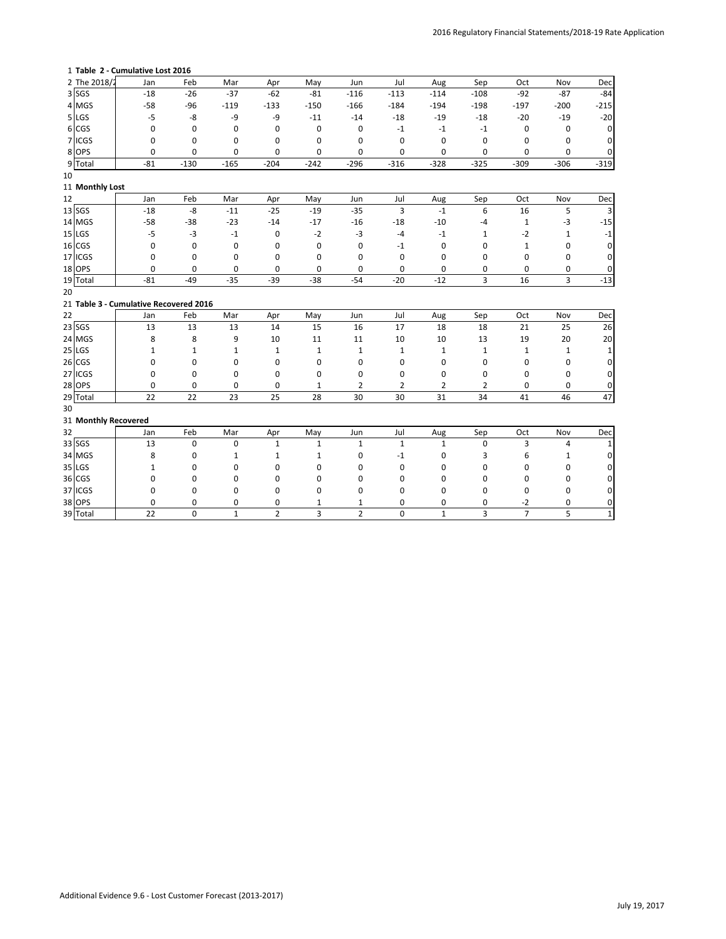|    |                      | 1 Table 2 - Cumulative Lost 2016       |              |              |                |              |                |               |              |                |                |              |             |
|----|----------------------|----------------------------------------|--------------|--------------|----------------|--------------|----------------|---------------|--------------|----------------|----------------|--------------|-------------|
|    | 2 The 2018/2         | Jan                                    | Feb          | Mar          | Apr            | May          | Jun            | Jul           | Aug          | Sep            | Oct            | Nov          | Dec         |
|    | 3 SGS                | $-18$                                  | $-26$        | $-37$        | $-62$          | $-81$        | $-116$         | $-113$        | $-114$       | $-108$         | $-92$          | $-87$        | $-84$       |
|    | 4 MGS                | $-58$                                  | $-96$        | $-119$       | $-133$         | $-150$       | $-166$         | $-184$        | $-194$       | $-198$         | $-197$         | $-200$       | $-215$      |
|    | 5 LGS                | $-5$                                   | -8           | -9           | -9             | $-11$        | $-14$          | $-18$         | $-19$        | $-18$          | $-20$          | $-19$        | $-20$       |
|    | 6 CGS                | 0                                      | $\mathbf 0$  | $\mathbf 0$  | 0              | $\mathbf 0$  | $\mathbf 0$    | $\mathbf{-1}$ | $-1$         | $-1$           | $\mathbf 0$    | 0            | $\mathbf 0$ |
|    | 7 ICGS               | 0                                      | $\mathbf 0$  | $\mathbf 0$  | 0              | 0            | 0              | $\mathbf 0$   | $\mathbf 0$  | $\mathbf 0$    | 0              | 0            | $\mathbf 0$ |
|    | 8 OPS                | 0                                      | 0            | $\mathbf 0$  | 0              | $\mathbf 0$  | 0              | 0             | 0            | 0              | $\Omega$       | 0            | $\mathbf 0$ |
|    | 9 Total              | $-81$                                  | $-130$       | $-165$       | $-204$         | $-242$       | $-296$         | $-316$        | $-328$       | $-325$         | $-309$         | $-306$       | $-319$      |
| 10 |                      |                                        |              |              |                |              |                |               |              |                |                |              |             |
|    | 11 Monthly Lost      |                                        |              |              |                |              |                |               |              |                |                |              |             |
| 12 |                      | Jan                                    | Feb          | Mar          | Apr            | May          | Jun            | Jul           | Aug          | Sep            | Oct            | Nov          | Dec         |
|    | 13 SGS               | $-18$                                  | -8           | $-11$        | $-25$          | $-19$        | $-35$          | 3             | $-1$         | 6              | 16             | 5            | 3           |
|    | 14 MGS               | $-58$                                  | $-38$        | $-23$        | $-14$          | $-17$        | $-16$          | $-18$         | $-10$        | -4             | $\mathbf{1}$   | -3           | $-15$       |
|    | 15 LGS               | $-5$                                   | $-3$         | $-1$         | 0              | $-2$         | $-3$           | $-4$          | $-1$         | $\mathbf{1}$   | $-2$           | $\mathbf{1}$ | $-1$        |
|    | 16 CGS               | 0                                      | $\mathbf 0$  | $\mathbf 0$  | 0              | $\mathbf 0$  | 0              | $-1$          | $\mathbf 0$  | $\mathbf 0$    | $\mathbf{1}$   | 0            | 0           |
|    | 17 ICGS              | 0                                      | 0            | $\mathbf 0$  | 0              | 0            | 0              | 0             | $\mathbf 0$  | 0              | 0              | 0            | 0           |
|    | 18 OPS               | 0                                      | 0            | 0            | 0              | 0            | 0              | 0             | 0            | 0              | 0              | 0            | $\mathbf 0$ |
|    | 19 Total             | $-81$                                  | $-49$        | $-35$        | $-39$          | $-38$        | $-54$          | $-20$         | $-12$        | 3              | 16             | 3            | $-13$       |
| 20 |                      |                                        |              |              |                |              |                |               |              |                |                |              |             |
|    |                      | 21 Table 3 - Cumulative Recovered 2016 |              |              |                |              |                |               |              |                |                |              |             |
| 22 |                      | Jan                                    | Feb          | Mar          | Apr            | May          | Jun            | Jul           | Aug          | Sep            | Oct            | Nov          | Dec         |
|    | 23 SGS               | 13                                     | 13           | 13           | 14             | 15           | 16             | 17            | 18           | 18             | 21             | 25           | 26          |
|    | 24 MGS               | 8                                      | 8            | 9            | 10             | 11           | 11             | 10            | 10           | 13             | 19             | 20           | 20          |
|    | 25 LGS               | $\mathbf{1}$                           | $\mathbf{1}$ | $\mathbf{1}$ | $\mathbf{1}$   | $\mathbf{1}$ | $\mathbf 1$    | $\mathbf{1}$  | $\mathbf{1}$ | $\mathbf{1}$   | $\mathbf{1}$   | $\mathbf 1$  | $\mathbf 1$ |
|    | 26 CGS               | 0                                      | 0            | $\mathbf 0$  | 0              | $\mathbf 0$  | 0              | 0             | 0            | 0              | 0              | 0            | 0           |
|    | 27 ICGS              | 0                                      | $\mathbf 0$  | $\mathbf 0$  | 0              | 0            | 0              | 0             | $\mathbf 0$  | $\mathbf 0$    | 0              | 0            | 0           |
|    | 28 OPS               | 0                                      | 0            | 0            | 0              | 1            | 2              | 2             | 2            | $\overline{2}$ | 0              | 0            | $\mathbf 0$ |
|    | 29 Total             | 22                                     | 22           | 23           | 25             | 28           | 30             | 30            | 31           | 34             | 41             | 46           | 47          |
| 30 |                      |                                        |              |              |                |              |                |               |              |                |                |              |             |
|    | 31 Monthly Recovered |                                        |              |              |                |              |                |               |              |                |                |              |             |
| 32 |                      | Jan                                    | Feb          | Mar          | Apr            | May          | Jun            | Jul           | Aug          | Sep            | Oct            | Nov          | Dec         |
|    | 33 SGS               | 13                                     | $\mathbf 0$  | 0            | $\mathbf{1}$   | $\mathbf{1}$ | $\mathbf{1}$   | $\mathbf{1}$  | $\mathbf{1}$ | $\mathbf 0$    | 3              | 4            | $\mathbf 1$ |
|    | 34 MGS               | 8                                      | 0            | $\mathbf{1}$ | $\mathbf{1}$   | $1\,$        | 0              | $-1$          | 0            | 3              | 6              | $\mathbf{1}$ | 0           |
|    | 35 LGS               | $\mathbf{1}$                           | 0            | $\mathbf 0$  | 0              | $\mathbf 0$  | 0              | $\mathbf 0$   | 0            | $\mathbf 0$    | 0              | 0            | 0           |
|    | 36 CGS               | 0                                      | 0            | 0            | 0              | 0            | 0              | 0             | 0            | 0              | 0              | 0            | 0           |
|    | 37 ICGS              | 0                                      | $\mathbf 0$  | $\mathbf 0$  | 0              | 0            | 0              | 0             | 0            | $\mathbf 0$    | 0              | 0            | 0           |
|    | 38 OPS               | 0                                      | 0            | 0            | 0              | 1            | $\mathbf{1}$   | 0             | 0            | 0              | $-2$           | 0            | 0           |
|    | 39 Total             | 22                                     | $\mathbf 0$  | $\mathbf{1}$ | $\overline{2}$ | 3            | $\overline{2}$ | 0             | $\mathbf{1}$ | 3              | $\overline{7}$ | 5            | $\mathbf 1$ |